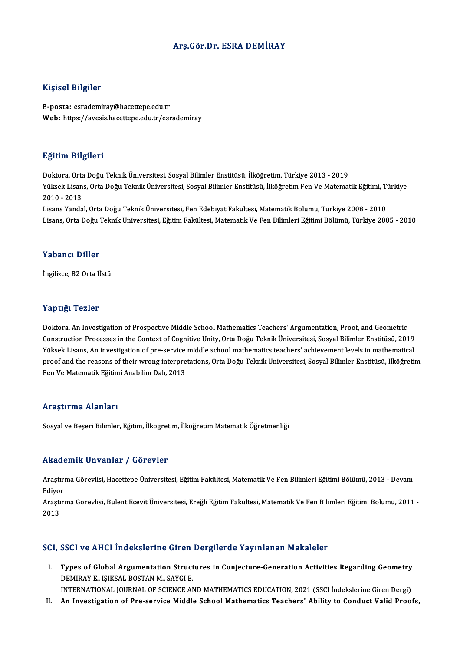#### Arş.Gör.Dr. ESRA DEMİRAY

#### Kişisel Bilgiler

E-posta: esrademiray@hacettepe.edu.tr Web: https://avesis.hacettepe.edu.tr/esrademiray

#### Eğitim Bilgileri

<mark>Eğitim Bilgileri</mark><br>Doktora, Orta Doğu Teknik Üniversitesi, Sosyal Bilimler Enstitüsü, İlköğretim, Türkiye 2013 - 2019<br>Yüksek Lisans, Orta Doğu Teknik Üniversitesi, Sosyal Bilimler Enstitüsü, İlköğretim Fen Ve Matemat Yüksek Lisans, Orta Doğu Teknik Üniversitesi, Sosyal Bilimler Enstitüsü, İlköğretim Fen Ve Matematik Eğitimi, Türkiye<br>2010 - 2013 Doktora, Orta<br>Yüksek Lisan<br>2010 - 2013<br>Lisans Yanda

Lisans Yandal, Orta Doğu Teknik Üniversitesi, Fen Edebiyat Fakültesi, Matematik Bölümü, Türkiye 2008 - 2010 Lisans, Orta Doğu Teknik Üniversitesi, Eğitim Fakültesi, Matematik Ve Fen Bilimleri Eğitimi Bölümü, Türkiye 2005 - 2010

#### Yabancı Diller

İngilizce, B2 Orta Üstü

#### Yaptığı Tezler

Doktora, An Investigation of Prospective Middle School Mathematics Teachers' Argumentation, Proof, and Geometric Tup erg. Tonstruction<br>Doktora, An Investigation of Prospective Middle School Mathematics Teachers' Argumentation, Proof, and Geometric<br>Construction Processes in the Context of Cognitive Unity, Orta Doğu Teknik Üniversitesi Doktora, An Investigation of Prospective Middle School Mathematics Teachers' Argumentation, Proof, and Geometric<br>Construction Processes in the Context of Cognitive Unity, Orta Doğu Teknik Üniversitesi, Sosyal Bilimler Enst proof and the reasons of their wrong interpretations, Orta Doğu Teknik Üniversitesi, Sosyal Bilimler Enstitüsü, İlköğretim<br>Fen Ve Matematik Eğitimi Anabilim Dalı, 2013 Yüksek Lisans, An investigation of pre-service middle school mathematics teachers' achievement levels in mathematical

#### Araştırma Alanları

Sosyal ve Beşeri Bilimler, Eğitim, İlköğretim, İlköğretim Matematik Öğretmenliği

#### Akademik Unvanlar / Görevler

**Akademik Unvanlar / Görevler**<br>Araştırma Görevlisi, Hacettepe Üniversitesi, Eğitim Fakültesi, Matematik Ve Fen Bilimleri Eğitimi Bölümü, 2013 - Devam Araştırı<br>Araştırı<br>Ediyor Araştırma Görevlisi, Hacettepe Üniversitesi, Eğitim Fakültesi, Matematik Ve Fen Bilimleri Eğitimi Bölümü, 2013 - Devam<br>Ediyor<br>Araştırma Görevlisi, Bülent Ecevit Üniversitesi, Ereğli Eğitim Fakültesi, Matematik Ve Fen Bilim

Ediyoı<br>Araştı<br>2013

## 2013<br>SCI, SSCI ve AHCI İndekslerine Giren Dergilerde Yayınlanan Makaleler

CI, SSCI ve AHCI İndekslerine Giren Dergilerde Yayınlanan Makaleler<br>I. Types of Global Argumentation Structures in Conjecture-Generation Activities Regarding Geometry<br>REMIRAV E. ISIKSAL BOSTAN M. SAVCLE **Types of Global Argumentation Struct<br>DEMİRAY E., IŞIKSAL BOSTAN M., SAYGI E.<br>INTERNATIONAL JOURNAL OF SCIENCE AN** Types of Global Argumentation Structures in Conjecture-Generation Activities Regarding Geometry<br>DEMİRAY E., IŞIKSAL BOSTAN M., SAYGI E.<br>INTERNATIONAL JOURNAL OF SCIENCE AND MATHEMATICS EDUCATION, 2021 (SSCI İndekslerine Gi DEMIRAY E., IŞIKSAL BOSTAN M., SAYGI E.<br>INTERNATIONAL JOURNAL OF SCIENCE AND MATHEMATICS EDUCATION, 2021 (SSCI İndekslerine Giren Dergi)<br>II. An Investigation of Pre-service Middle School Mathematics Teachers' Ability t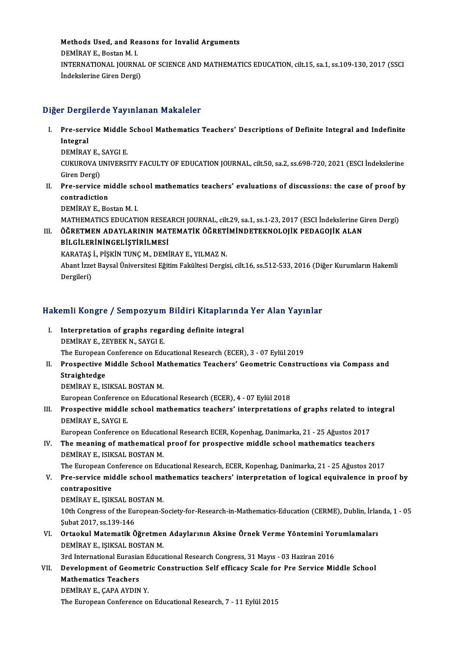Methods Used, and Reasons for Invalid Arguments<br>REMIRAVE, Bostan M. L Methods Used, and Re<br>DEMİRAY E., Bostan M. I.<br>INTERNATIONAL JOURN. Methods Used, and Reasons for Invalid Arguments<br>DEMİRAY E., Bostan M. I.<br>INTERNATIONAL JOURNAL OF SCIENCE AND MATHEMATICS EDUCATION, cilt.15, sa.1, ss.109-130, 2017 (SSCI DEMİRAY E., Bostan M. I.<br>INTERNATIONAL JOURNA<br>İndekslerine Giren Dergi)

## İndekslerine Giren Dergi)<br>Diğer Dergilerde Yayınlanan Makaleler

- iğer Dergilerde Yayınlanan Makaleler<br>I. Pre-service Middle School Mathematics Teachers' Descriptions of Definite Integral and Indefinite<br>Integral Porter<br>Pre-serv<br>Integral Pre-service Middle<br>Integral<br>DEMİRAY E., SAYGI E.<br>CUKUROVA UNIVERSI Integral<br>DEMİRAY E., SAYGI E.<br>CUKUROVA UNIVERSITY FACULTY OF EDUCATION JOURNAL, cilt.50, sa.2, ss.698-720, 2021 (ESCI İndekslerine<br>Ciron Dergi) DEMİRAY E.,<br>CUKUROVA U<br>Giren Dergi)<br>Pre servise
- CUKUROVA UNIVERSITY FACULTY OF EDUCATION JOURNAL, cilt.50, sa.2, ss.698-720, 2021 (ESCI indekslerine<br>Giren Dergi)<br>II. Pre-service middle school mathematics teachers' evaluations of discussions: the case of proof by<br>contrad **Giren Dergi)<br>Pre-service m<br>contradiction<br>DEMIPAV E. Po** Pre-service middle sch<br>contradiction<br>DEMİRAY E., Bostan M. I.<br>MATUEMATICS EDUCATI contradiction<br>DEMİRAY E., Bostan M. I.<br>MATHEMATICS EDUCATION RESEARCH JOURNAL, cilt.29, sa.1, ss.1-23, 2017 (ESCI İndekslerine Giren Dergi)<br>ÖĞPETMEN ADAYLARININ MATEMATİK ÖĞPETİMİNDETEKNOLOUK PEDACOLK ALAN

DEMİRAY E., Bostan M. I.<br>MATHEMATICS EDUCATION RESEARCH JOURNAL, cilt.29, sa.1, ss.1-23, 2017 (ESCI İndekslerine G.<br>III. ÖĞRETMEN ADAYLARININ MATEMATİK ÖĞRETİMİNDETEKNOLOJİK PEDAGOJİK ALAN<br>PİL CİLEPİNİNCEL İSTIRILMESİ MATHEMATICS EDUCATION RESEA<br>ÖĞRETMEN ADAYLARININ MAT<br>BİLGİLERİNİNGELİŞTİRİLMESİ ÖĞRETMEN ADAYLARININ MATEMATİK ÖĞRETİ<br>BİLGİLERİNİNGELİŞTİRİLMESİ<br>KARATAŞ İ., PİŞKİN TUNÇ M., DEMİRAY E., YILMAZ N.<br>Abant İzzet Baycal Üniyersitesi Eğitim Fakültesi Dergiş

BİLGİLERİNİNGELİŞTİRİLMESİ<br>KARATAŞ İ., PİŞKİN TUNÇ M., DEMİRAY E., YILMAZ N.<br>Abant İzzet Baysal Üniversitesi Eğitim Fakültesi Dergisi, cilt.16, ss.512-533, 2016 (Diğer Kurumların Hakemli<br>Dergileri) KARATAŞ İ., PİŞKİN TUNÇ M., DEMİRAY E., YILMAZ N.

# bergueri)<br>Hakemli Kongre / Sempozyum Bildiri Kitaplarında Yer Alan Yayınlar

- akemli Kongre / Sempozyum Bildiri Kitaplarınd:<br>I. Interpretation of graphs regarding definite integral I. Interpretation of graphs regarding definite integral<br>DEMİRAYE., ZEYBEK N., SAYGI E. The European Conference on Educational Research (ECER), 3 - 07 Eylül 2019 DEMİRAY E., ZEYBEK N., SAYGI E.<br>The European Conference on Educational Research (ECER), 3 - 07 Eylül 2019<br>II. Prospective Middle School Mathematics Teachers' Geometric Constructions via Compass and<br>Streightedse
- The European<br><mark>Prospective M</mark><br>Straightedge<br>DEMIPAV E JS Prospective Middle School Ma<br>Straightedge<br>DEMİRAY E., ISIKSAL BOSTAN M.<br>European Conference on Educati Straightedge<br>DEMİRAY E., ISIKSAL BOSTAN M.<br>European Conference on Educational Research (ECER), 4 - 07 Eylül 2018

DEMİRAY E., ISIKSAL BOSTAN M.<br>European Conference on Educational Research (ECER), 4 - 07 Eylül 2018<br>III. Prospective middle school mathematics teachers' interpretations of graphs related to integral<br>DEMİRAY E. SAYCLE European Conference<br>Prospective middle<br>DEMİRAY E., SAYGI E.<br>European Conference Prospective middle school mathematics teachers' interpretations of graphs related to in<br>DEMİRAY E., SAYGI E.<br>European Conference on Educational Research ECER, Kopenhag, Danimarka, 21 - 25 Ağustos 2017<br>The meaning of mathem

DEMİRAY E., SAYGI E.<br>European Conference on Educational Research ECER, Kopenhag, Danimarka, 21 - 25 Ağustos 2017<br>IV. The meaning of mathematical proof for prospective middle school mathematics teachers<br>DEMİRAY E. ISIKSAL P European Conference on Educati<br>The meaning of mathematical<br>DEMİRAY E., ISIKSAL BOSTAN M.<br>The European Conference on Edu The meaning of mathematical proof for prospective middle school mathematics teachers<br>DEMİRAY E., ISIKSAL BOSTAN M.<br>The European Conference on Educational Research, ECER, Kopenhag, Danimarka, 21 - 25 Ağustos 2017<br>Pre servis

DEMİRAY E., ISIKSAL BOSTAN M.<br>The European Conference on Educational Research, ECER, Kopenhag, Danimarka, 21 - 25 Ağustos 2017<br>V. Pre-service middle school mathematics teachers' interpretation of logical equivalence in pro The European Co<br>Pre-service mic<br>contrapositive<br>DEMIRAV E JSIV Pre-service middle school ma<br>contrapositive<br>DEMİRAY E., IŞIKSAL BOSTAN M.<br>10th Congress of the European S

contrapositive<br>DEMİRAY E., IŞIKSAL BOSTAN M.<br>10th Congress of the European-Society-for-Research-in-Mathematics-Education (CERME), Dublin, İrlanda, 1 - 05<br>Subat 2017, SS 139, 146 DEMİRAY E., IŞIKSAL BO<br>10th Congress of the Eu<br>Şubat 2017, ss.139-146<br>Ortaclul Matemetik Ö 10th Congress of the European-Society-for-Research-in-Mathematics-Education (CERME), Dublin, İrlan Şubat 2017, ss.139-146<br>VI. Ortaokul Matematik Öğretmen Adaylarının Aksine Örnek Verme Yöntemini Yorumlamaları<br>DEMİRAY E. IS

Şubat 2017, ss.139-146<br>Ortaokul Matematik Öğretmen<br>DEMİRAY E., IŞIKSAL BOSTAN M. VI. Ortaokul Matematik Öğretmen Adaylarının Aksine Örnek Verme Yöntemini Yorumlamaları

### DEMIRAY E., IŞIKSAL BOSTAN M.<br>3rd International Eurasian Educational Research Congress, 31 Mayıs - 03 Haziran 2016<br>VII. Development of Geometric Construction Self efficacy Scale for Pre Service Middle School<br>Mathematic 3rd International Eurasian Educational Research Congress, 31 Mayıs - 03 Haziran 2016<br>Development of Geometric Construction Self efficacy Scale for Pre Service Mi<br>Mathematics Teachers<br>DEMIRAY E., CAPA AYDIN Y. Development of Geometr<br>Mathematics Teachers<br>DEMİRAY E., ÇAPA AYDIN Y.<br>The European Conference el

The European Conference on Educational Research, 7 - 11 Eylül 2015